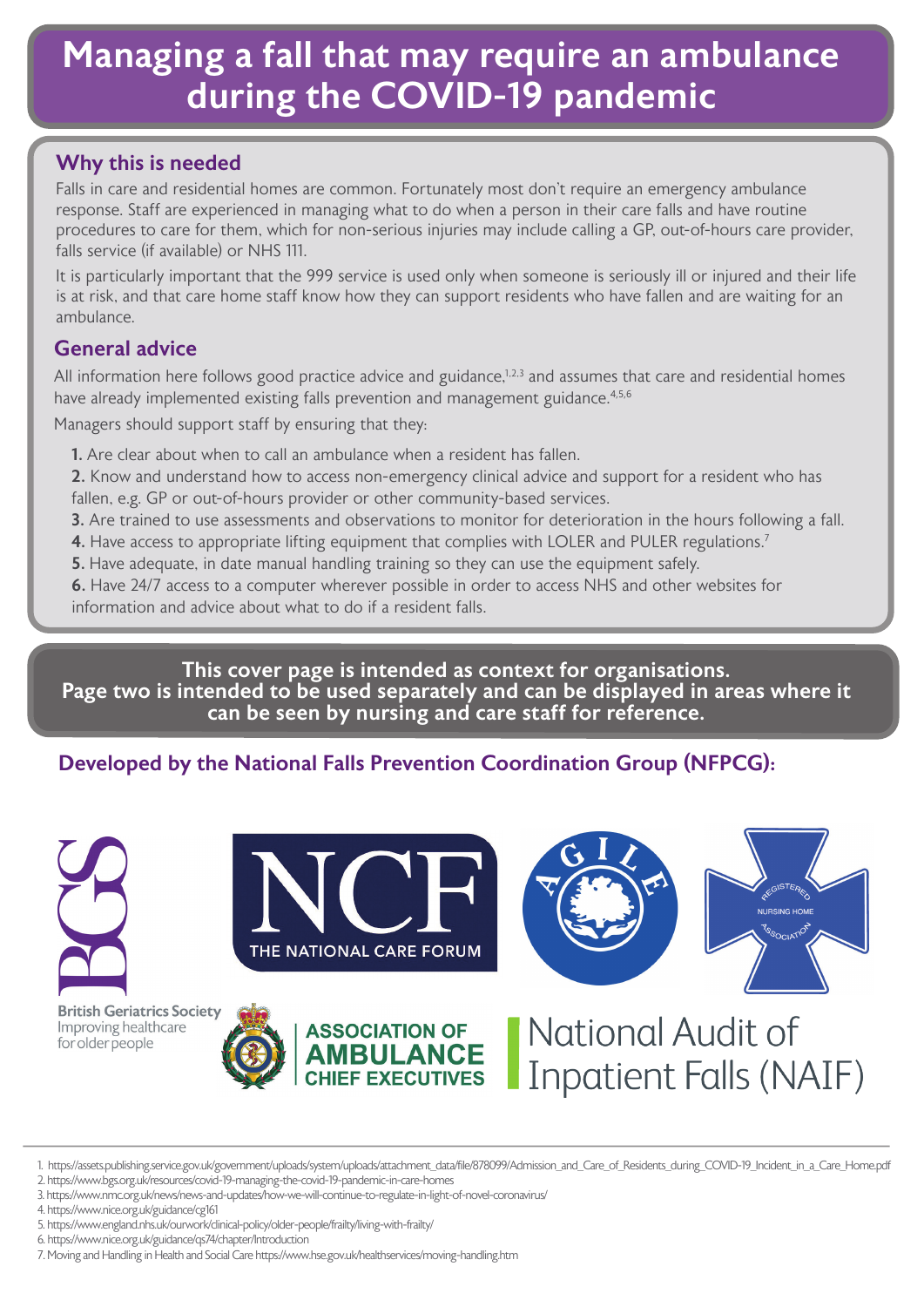# Managing a fall that may require an ambulance during the COVID-19 pandemic

## Why this is needed

Falls in care and residential homes are common. Fortunately most don't require an emergency ambulance response. Staff are experienced in managing what to do when a person in their care falls and have routine procedures to care for them, which for non-serious injuries may include calling a GP, out-of-hours care provider, falls service (if available) or NHS 111.

It is particularly important that the 999 service is used only when someone is seriously ill or injured and their life is at risk, and that care home staff know how they can support residents who have fallen and are waiting for an ambulance.

## General advice

All information here follows good practice advice and guidance,<sup>1,2,3</sup> and assumes that care and residential homes have already implemented existing falls prevention and management guidance.<sup>4,5,6</sup>

Managers should support staff by ensuring that they:

- 1. Are clear about when to call an ambulance when a resident has fallen.
- 2. Know and understand how to access non-emergency clinical advice and support for a resident who has fallen, e.g. GP or out-of-hours provider or other community-based services.
- 3. Are trained to use assessments and observations to monitor for deterioration in the hours following a fall.
- 4. Have access to appropriate lifting equipment that complies with LOLER and PULER regulations.<sup>7</sup>
- **5.** Have adequate, in date manual handling training so they can use the equipment safely.

6. Have 24/7 access to a computer wherever possible in order to access NHS and other websites for information and advice about what to do if a resident falls.

This cover page is intended as context for organisations. Page two is intended to be used separately and can be displayed in areas where it can be seen by nursing and care staff for reference.

## Developed by the National Falls Prevention Coordination Group (NFPCG):





**NURSING HOME** 

**British Geriatrics Society** Improving healthcare for older people





<sup>1.</sup> https://assets.publishing.service.gov.uk/government/uploads/system/uploads/attachment\_data/file/878099/Admission\_and\_Care\_of\_Residents\_during\_COVID-19\_Incident\_in\_a\_Care\_Home.pdf

2. https://www.bgs.org.uk/resources/covid-19-managing-the-covid-19-pandemic-in-care-homes

- 5. https://www.england.nhs.uk/ourwork/clinical-policy/older-people/frailty/living-with-frailty/
- 6. https://www.nice.org.uk/guidance/qs74/chapter/Introduction
- 7. Moving and Handling in Health and Social Care https://www.hse.gov.uk/healthservices/moving-handling.htm

<sup>3.</sup> https://www.nmc.org.uk/news/news-and-updates/how-we-will-continue-to-regulate-in-light-of-novel-coronavirus/

<sup>4.</sup> https://www.nice.org.uk/guidance/cg161